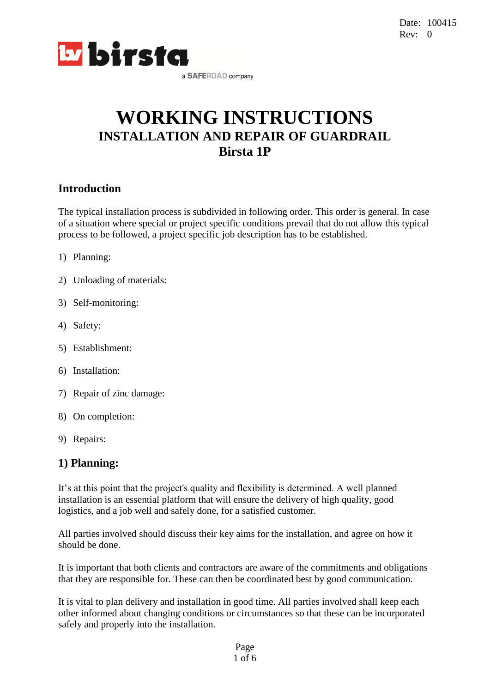

# **WORKING INSTRUCTIONS INSTALLATION AND REPAIR OF GUARDRAIL Birsta 1P**

### **Introduction**

The typical installation process is subdivided in following order. This order is general. In case of a situation where special or project specific conditions prevail that do not allow this typical process to be followed, a project specific job description has to be established.

- 1) Planning:
- 2) Unloading of materials:
- 3) Self-monitoring:
- 4) Safety:
- 5) Establishment:
- 6) Installation:
- 7) Repair of zinc damage:
- 8) On completion:
- 9) Repairs:

### **1) Planning:**

It's at this point that the project's quality and flexibility is determined. A well planned installation is an essential platform that will ensure the delivery of high quality, good logistics, and a job well and safely done, for a satisfied customer.

All parties involved should discuss their key aims for the installation, and agree on how it should be done.

It is important that both clients and contractors are aware of the commitments and obligations that they are responsible for. These can then be coordinated best by good communication.

It is vital to plan delivery and installation in good time. All parties involved shall keep each other informed about changing conditions or circumstances so that these can be incorporated safely and properly into the installation.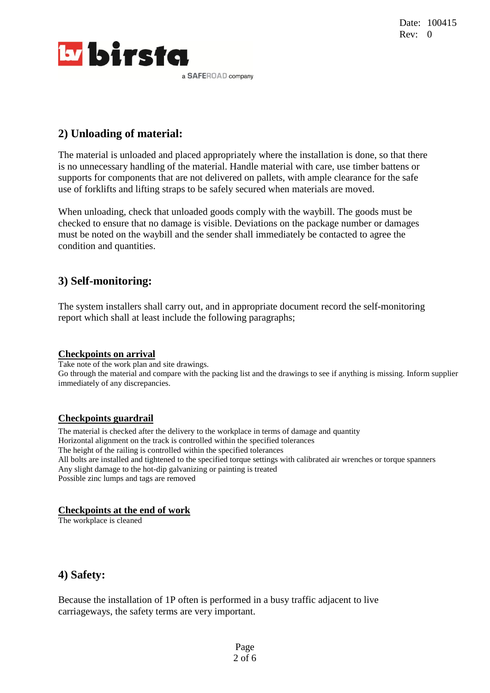

# **2) Unloading of material:**

The material is unloaded and placed appropriately where the installation is done, so that there is no unnecessary handling of the material. Handle material with care, use timber battens or supports for components that are not delivered on pallets, with ample clearance for the safe use of forklifts and lifting straps to be safely secured when materials are moved.

When unloading, check that unloaded goods comply with the waybill. The goods must be checked to ensure that no damage is visible. Deviations on the package number or damages must be noted on the waybill and the sender shall immediately be contacted to agree the condition and quantities.

# **3) Self-monitoring:**

The system installers shall carry out, and in appropriate document record the self-monitoring report which shall at least include the following paragraphs;

#### **Checkpoints on arrival**

Take note of the work plan and site drawings. Go through the material and compare with the packing list and the drawings to see if anything is missing. Inform supplier immediately of any discrepancies.

#### **Checkpoints guardrail**

The material is checked after the delivery to the workplace in terms of damage and quantity Horizontal alignment on the track is controlled within the specified tolerances The height of the railing is controlled within the specified tolerances All bolts are installed and tightened to the specified torque settings with calibrated air wrenches or torque spanners Any slight damage to the hot-dip galvanizing or painting is treated Possible zinc lumps and tags are removed

#### **Checkpoints at the end of work**

The workplace is cleaned

### **4) Safety:**

Because the installation of 1P often is performed in a busy traffic adjacent to live carriageways, the safety terms are very important.

> Page 2 of 6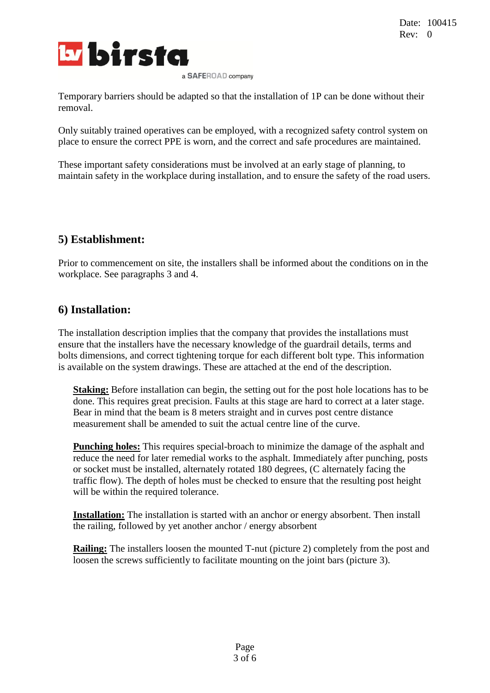

Temporary barriers should be adapted so that the installation of 1P can be done without their removal.

Only suitably trained operatives can be employed, with a recognized safety control system on place to ensure the correct PPE is worn, and the correct and safe procedures are maintained.

These important safety considerations must be involved at an early stage of planning, to maintain safety in the workplace during installation, and to ensure the safety of the road users.

# **5) Establishment:**

Prior to commencement on site, the installers shall be informed about the conditions on in the workplace. See paragraphs 3 and 4.

### **6) Installation:**

The installation description implies that the company that provides the installations must ensure that the installers have the necessary knowledge of the guardrail details, terms and bolts dimensions, and correct tightening torque for each different bolt type. This information is available on the system drawings. These are attached at the end of the description.

**Staking:** Before installation can begin, the setting out for the post hole locations has to be done. This requires great precision. Faults at this stage are hard to correct at a later stage. Bear in mind that the beam is 8 meters straight and in curves post centre distance measurement shall be amended to suit the actual centre line of the curve.

**Punching holes:** This requires special-broach to minimize the damage of the asphalt and reduce the need for later remedial works to the asphalt. Immediately after punching, posts or socket must be installed, alternately rotated 180 degrees, (C alternately facing the traffic flow). The depth of holes must be checked to ensure that the resulting post height will be within the required tolerance.

**Installation:** The installation is started with an anchor or energy absorbent. Then install the railing, followed by yet another anchor / energy absorbent

**Railing:** The installers loosen the mounted T-nut (picture 2) completely from the post and loosen the screws sufficiently to facilitate mounting on the joint bars (picture 3).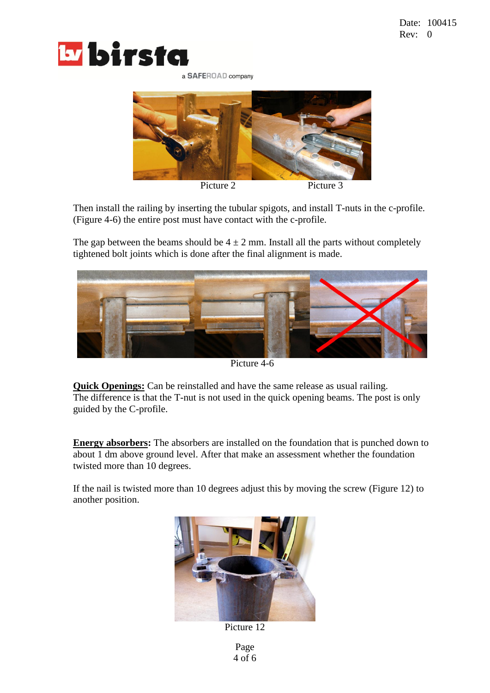



Then install the railing by inserting the tubular spigots, and install T-nuts in the c-profile. (Figure 4-6) the entire post must have contact with the c-profile.

The gap between the beams should be  $4 \pm 2$  mm. Install all the parts without completely tightened bolt joints which is done after the final alignment is made.



Picture 4-6

**Quick Openings:** Can be reinstalled and have the same release as usual railing. The difference is that the T-nut is not used in the quick opening beams. The post is only guided by the C-profile.

**Energy absorbers:** The absorbers are installed on the foundation that is punched down to about 1 dm above ground level. After that make an assessment whether the foundation twisted more than 10 degrees.

If the nail is twisted more than 10 degrees adjust this by moving the screw (Figure 12) to another position.



Picture 12

Page 4 of 6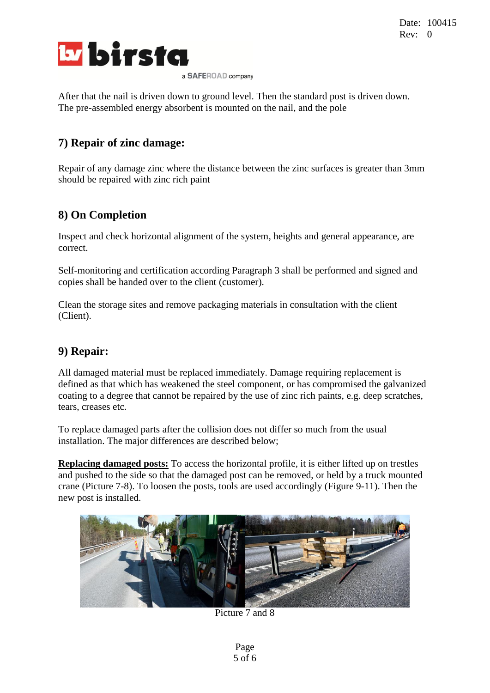

After that the nail is driven down to ground level. Then the standard post is driven down. The pre-assembled energy absorbent is mounted on the nail, and the pole

# **7) Repair of zinc damage:**

Repair of any damage zinc where the distance between the zinc surfaces is greater than 3mm should be repaired with zinc rich paint

# **8) On Completion**

Inspect and check horizontal alignment of the system, heights and general appearance, are correct.

Self-monitoring and certification according Paragraph 3 shall be performed and signed and copies shall be handed over to the client (customer).

Clean the storage sites and remove packaging materials in consultation with the client (Client).

### **9) Repair:**

All damaged material must be replaced immediately. Damage requiring replacement is defined as that which has weakened the steel component, or has compromised the galvanized coating to a degree that cannot be repaired by the use of zinc rich paints, e.g. deep scratches, tears, creases etc.

To replace damaged parts after the collision does not differ so much from the usual installation. The major differences are described below;

**Replacing damaged posts:** To access the horizontal profile, it is either lifted up on trestles and pushed to the side so that the damaged post can be removed, or held by a truck mounted crane (Picture 7-8). To loosen the posts, tools are used accordingly (Figure 9-11). Then the new post is installed.



Picture 7 and 8

Page 5 of 6